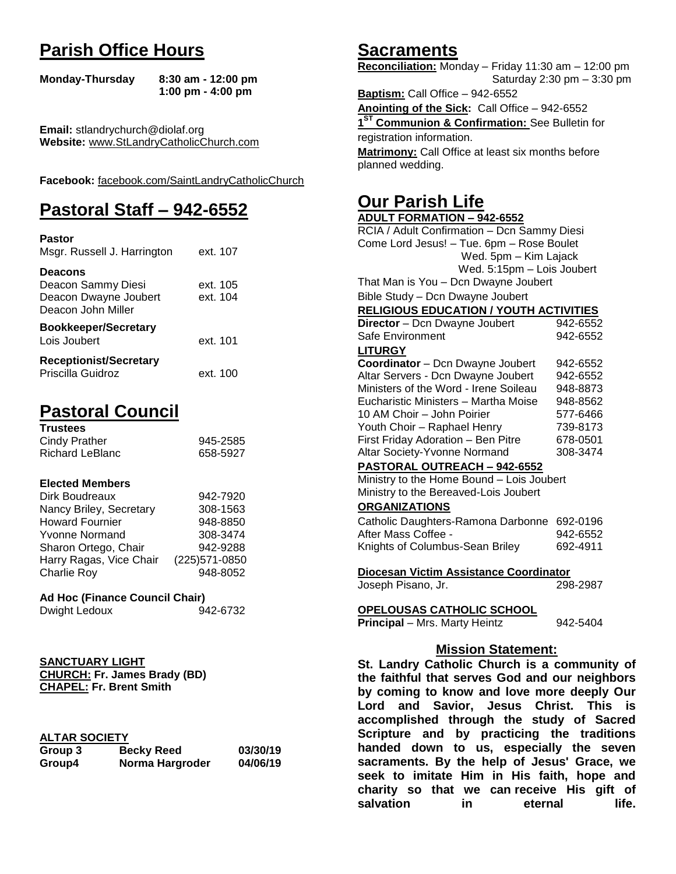# **Parish Office Hours**

```
Monday-Thursday 8:30 am - 12:00 pm
       1:00 pm - 4:00 pm
```
**Email:** stlandrychurch@diolaf.org **Website:** [www.StLandryCatholicChurch.com](http://www.stlandrycatholicchurch.com/)

**Facebook:** [facebook.com/SaintLandryCatholicChurch](http://facebook.com/SaintLandryCatholicChurch)

# **Pastoral Staff – 942-6552**

| <b>Pastor</b><br>Msgr. Russell J. Harrington                                        | ext. 107             |
|-------------------------------------------------------------------------------------|----------------------|
| <b>Deacons</b><br>Deacon Sammy Diesi<br>Deacon Dwayne Joubert<br>Deacon John Miller | ext. 105<br>ext. 104 |
| <b>Bookkeeper/Secretary</b><br>Lois Joubert                                         | ext. 101             |
| <b>Receptionist/Secretary</b><br>Priscilla Guidroz                                  | ext. 100             |

# **Pastoral Council**

| <b>Trustees</b> |          |
|-----------------|----------|
| Cindy Prather   | 945-2585 |
| Richard LeBlanc | 658-5927 |

#### **Elected Members**

| Dirk Boudreaux          | 942-7920       |
|-------------------------|----------------|
| Nancy Briley, Secretary | 308-1563       |
| <b>Howard Fournier</b>  | 948-8850       |
| <b>Yvonne Normand</b>   | 308-3474       |
| Sharon Ortego, Chair    | 942-9288       |
| Harry Ragas, Vice Chair | (225) 571-0850 |
| <b>Charlie Roy</b>      | 948-8052       |

## **Ad Hoc (Finance Council Chair)**

```
Dwight Ledoux 942-6732
```
#### **SANCTUARY LIGHT CHURCH: Fr. James Brady (BD) CHAPEL: Fr. Brent Smith**

## **ALTAR SOCIETY**

| Group 3 | <b>Becky Reed</b> | 03/30/19 |
|---------|-------------------|----------|
| Group4  | Norma Hargroder   | 04/06/19 |

# **Sacraments**

**Reconciliation:** Monday – Friday 11:30 am – 12:00 pm Saturday 2:30 pm – 3:30 pm

**Baptism:** Call Office – 942-6552 **Anointing of the Sick:** Call Office – 942-6552 **1 ST Communion & Confirmation:** See Bulletin for registration information. **Matrimony:** Call Office at least six months before planned wedding.

# **Our Parish Life**

| <b>ADULT FORMATION - 942-6552</b>              |                                             |  |
|------------------------------------------------|---------------------------------------------|--|
|                                                | RCIA / Adult Confirmation - Dcn Sammy Diesi |  |
| Come Lord Jesus! - Tue. 6pm - Rose Boulet      |                                             |  |
| Wed. 5pm - Kim Lajack                          |                                             |  |
| Wed. 5:15pm - Lois Joubert                     |                                             |  |
| That Man is You - Dcn Dwayne Joubert           |                                             |  |
| Bible Study - Dcn Dwayne Joubert               |                                             |  |
| <b>RELIGIOUS EDUCATION / YOUTH ACTIVITIES</b>  |                                             |  |
| Director - Dcn Dwayne Joubert                  | 942-6552                                    |  |
| Safe Environment                               | 942-6552                                    |  |
| <b>LITURGY</b>                                 |                                             |  |
| Coordinator - Dcn Dwayne Joubert               | 942-6552                                    |  |
| Altar Servers - Dcn Dwayne Joubert             | 942-6552                                    |  |
| Ministers of the Word - Irene Soileau          | 948-8873                                    |  |
| Eucharistic Ministers - Martha Moise           | 948-8562                                    |  |
| 10 AM Choir - John Poirier                     | 577-6466                                    |  |
| Youth Choir - Raphael Henry                    | 739-8173                                    |  |
| First Friday Adoration - Ben Pitre             | 678-0501                                    |  |
| Altar Society-Yvonne Normand                   | 308-3474                                    |  |
| PASTORAL OUTREACH - 942-6552                   |                                             |  |
| Ministry to the Home Bound - Lois Joubert      |                                             |  |
| Ministry to the Bereaved-Lois Joubert          |                                             |  |
| <b>ORGANIZATIONS</b>                           |                                             |  |
| Catholic Daughters-Ramona Darbonne             | 692-0196                                    |  |
| After Mass Coffee -                            | 942-6552                                    |  |
| Knights of Columbus-Sean Briley                | 692-4911                                    |  |
|                                                |                                             |  |
| Diocesan Victim Assistance Coordinator         |                                             |  |
| Joseph Pisano, Jr.                             | 298-2987                                    |  |
| <b>OPELOUSAS CATHOLIC SCHOOL</b>               |                                             |  |
| <b>Principal</b> - Mrs. Marty Heintz           | 942-5404                                    |  |
|                                                |                                             |  |
| <b>Mission Statement:</b>                      |                                             |  |
| St. Landry Catholic Church is a community of   |                                             |  |
| the faithful that serves God and our neighbors |                                             |  |
| by coming to know and love more deeply Our     |                                             |  |
| and Savior, Jesus Christ. This is<br>Lord      |                                             |  |
| accomplished through the study of Sacred       |                                             |  |

**accomplished through the study of Sacred Scripture and by practicing the traditions handed down to us, especially the seven sacraments. By the help of Jesus' Grace, we seek to imitate Him in His faith, hope and charity so that we can receive His gift of salvation in** eternal life.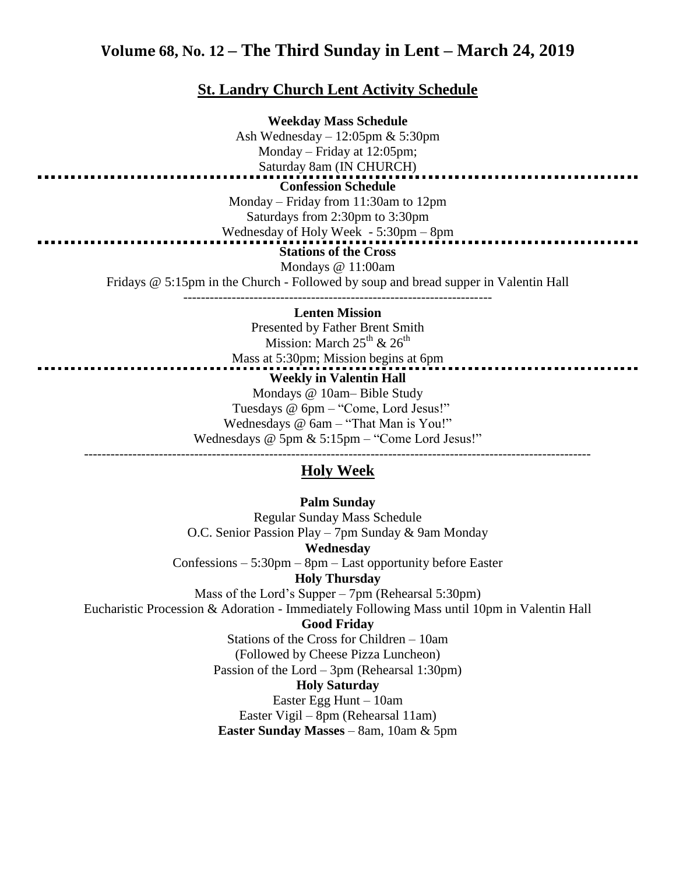# **Volume 68, No. 12 – The Third Sunday in Lent – March 24, 2019**

#### **St. Landry Church Lent Activity Schedule**

**Weekday Mass Schedule** Ash Wednesday – 12:05pm & 5:30pm Monday – Friday at 12:05pm; Saturday 8am (IN CHURCH) **Confession Schedule** Monday – Friday from 11:30am to 12pm Saturdays from 2:30pm to 3:30pm Wednesday of Holy Week - 5:30pm – 8pm **Stations of the Cross** Mondays @ 11:00am Fridays @ 5:15pm in the Church - Followed by soup and bread supper in Valentin Hall

----------------------------------------------------------------------

#### **Lenten Mission**

Presented by Father Brent Smith Mission: March  $25^{th}$  &  $26^{th}$ Mass at 5:30pm; Mission begins at 6pm **Weekly in Valentin Hall** Mondays @ 10am– Bible Study Tuesdays @ 6pm – "Come, Lord Jesus!"

Wednesdays @ 6am – "That Man is You!" Wednesdays @ 5pm & 5:15pm – "Come Lord Jesus!"

## ------------------------------------------------------------------------------------------------------------------- **Holy Week**

**Palm Sunday** Regular Sunday Mass Schedule O.C. Senior Passion Play – 7pm Sunday & 9am Monday **Wednesday** Confessions – 5:30pm – 8pm – Last opportunity before Easter **Holy Thursday** Mass of the Lord's Supper – 7pm (Rehearsal 5:30pm) Eucharistic Procession & Adoration - Immediately Following Mass until 10pm in Valentin Hall **Good Friday** Stations of the Cross for Children – 10am (Followed by Cheese Pizza Luncheon) Passion of the Lord – 3pm (Rehearsal 1:30pm) **Holy Saturday** Easter Egg Hunt – 10am Easter Vigil – 8pm (Rehearsal 11am) **Easter Sunday Masses** – 8am, 10am & 5pm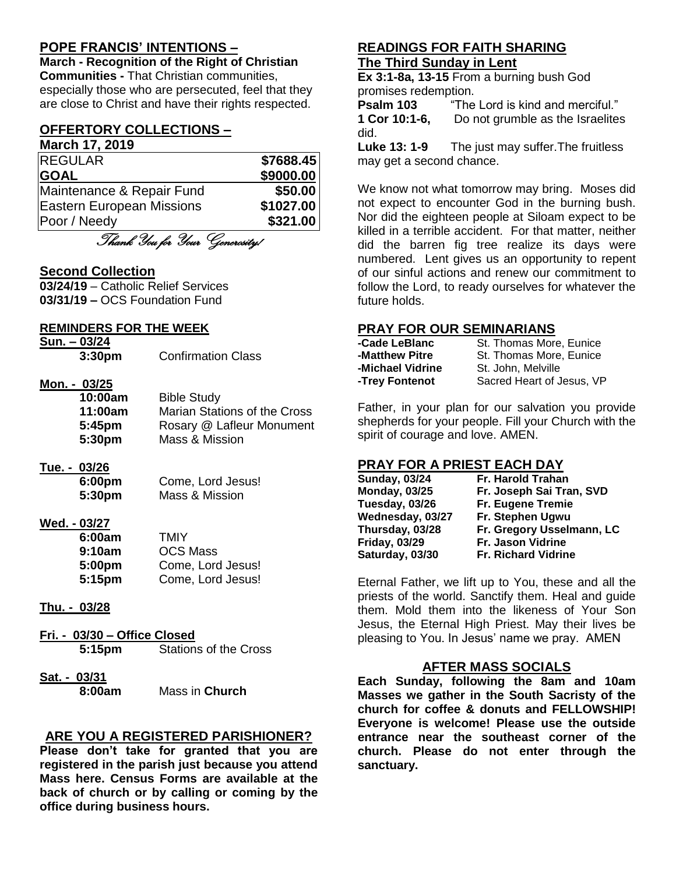## **POPE FRANCIS' INTENTIONS –**

**March - Recognition of the Right of Christian Communities -** That Christian communities, especially those who are persecuted, feel that they are close to Christ and have their rights respected.

# **OFFERTORY COLLECTIONS –**

**March 17, 2019**

| <b>REGULAR</b>                   | \$7688.45 |
|----------------------------------|-----------|
| <b>GOAL</b>                      | \$9000.00 |
| Maintenance & Repair Fund        | \$50.00   |
| <b>Eastern European Missions</b> | \$1027.00 |
| Poor / Needy                     | \$321.00  |
| - - - -                          |           |

Thank You for Your Generosity!

## **Second Collection**

**03/24/19** – Catholic Relief Services **03/31/19 –** OCS Foundation Fund

#### **REMINDERS FOR THE WEEK**

| $Sun. - 03/24$     |                           |
|--------------------|---------------------------|
| 3:30 <sub>pm</sub> | <b>Confirmation Class</b> |
| Mon. - 03/25       |                           |

| 10:00am | <b>Bible Study</b>           |
|---------|------------------------------|
| 11:00am | Marian Stations of the Cross |
| 5:45pm  | Rosary @ Lafleur Monument    |
| 5:30pm  | Mass & Mission               |

## **Tue. - 03/26**

**6:00pm** Come, Lord Jesus! **5:30pm** Mass & Mission

#### **Wed. - 03/27**

| 6:00am | TMIY              |
|--------|-------------------|
| 9:10am | <b>OCS Mass</b>   |
| 5:00pm | Come, Lord Jesus! |
| 5:15pm | Come, Lord Jesus! |

## **Thu. - 03/28**

- **Fri. - 03/30 – Office Closed 5:15pm** Stations of the Cross
- **Sat. - 03/31**

**8:00am** Mass in **Church**

## **ARE YOU A REGISTERED PARISHIONER?**

**Please don't take for granted that you are registered in the parish just because you attend Mass here. Census Forms are available at the back of church or by calling or coming by the office during business hours.**

## **READINGS FOR FAITH SHARING The Third Sunday in Lent**

**Ex 3:1-8a, 13-15** From a burning bush God promises redemption.

**Psalm 103** "The Lord is kind and merciful."

**1 Cor 10:1-6,** Do not grumble as the Israelites did.

**Luke 13: 1-9** The just may suffer.The fruitless may get a second chance.

We know not what tomorrow may bring. Moses did not expect to encounter God in the burning bush. Nor did the eighteen people at Siloam expect to be killed in a terrible accident. For that matter, neither did the barren fig tree realize its days were numbered. Lent gives us an opportunity to repent of our sinful actions and renew our commitment to follow the Lord, to ready ourselves for whatever the future holds.

## **PRAY FOR OUR SEMINARIANS**

| -Cade LeBlanc    | St. Thomas More, Eunice   |
|------------------|---------------------------|
| -Matthew Pitre   | St. Thomas More, Eunice   |
| -Michael Vidrine | St. John, Melville        |
| -Trey Fontenot   | Sacred Heart of Jesus, VP |

Father, in your plan for our salvation you provide shepherds for your people. Fill your Church with the spirit of courage and love. AMEN.

## **PRAY FOR A PRIEST EACH DAY**

| <b>Fr. Harold Trahan</b>  |
|---------------------------|
| Fr. Joseph Sai Tran, SVD  |
| Fr. Eugene Tremie         |
| Fr. Stephen Ugwu          |
| Fr. Gregory Usselmann, LC |
| Fr. Jason Vidrine         |
| Fr. Richard Vidrine       |
|                           |

Eternal Father, we lift up to You, these and all the priests of the world. Sanctify them. Heal and guide them. Mold them into the likeness of Your Son Jesus, the Eternal High Priest. May their lives be pleasing to You. In Jesus' name we pray. AMEN

## **AFTER MASS SOCIALS**

**Each Sunday, following the 8am and 10am Masses we gather in the South Sacristy of the church for coffee & donuts and FELLOWSHIP! Everyone is welcome! Please use the outside entrance near the southeast corner of the church. Please do not enter through the sanctuary.**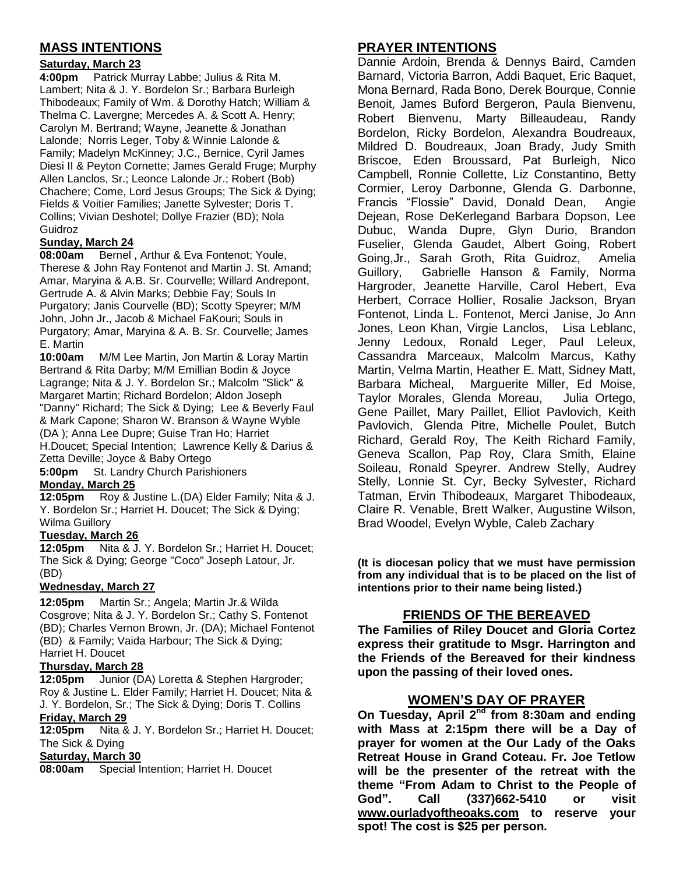# **MASS INTENTIONS**

## **Saturday, March 23**

**4:00pm** Patrick Murray Labbe; Julius & Rita M. Lambert; Nita & J. Y. Bordelon Sr.; Barbara Burleigh Thibodeaux; Family of Wm. & Dorothy Hatch; William & Thelma C. Lavergne; Mercedes A. & Scott A. Henry; Carolyn M. Bertrand; Wayne, Jeanette & Jonathan Lalonde; Norris Leger, Toby & Winnie Lalonde & Family; Madelyn McKinney; J.C., Bernice, Cyril James Diesi II & Peyton Cornette; James Gerald Fruge; Murphy Allen Lanclos, Sr.; Leonce Lalonde Jr.; Robert (Bob) Chachere; Come, Lord Jesus Groups; The Sick & Dying; Fields & Voitier Families; Janette Sylvester; Doris T. Collins; Vivian Deshotel; Dollye Frazier (BD); Nola Guidroz

#### **Sunday, March 24**

**08:00am** Bernel , Arthur & Eva Fontenot; Youle, Therese & John Ray Fontenot and Martin J. St. Amand; Amar, Maryina & A.B. Sr. Courvelle; Willard Andrepont, Gertrude A. & Alvin Marks; Debbie Fay; Souls In Purgatory; Janis Courvelle (BD); Scotty Speyrer; M/M John, John Jr., Jacob & Michael FaKouri; Souls in Purgatory; Amar, Maryina & A. B. Sr. Courvelle; James E. Martin

**10:00am** M/M Lee Martin, Jon Martin & Loray Martin Bertrand & Rita Darby; M/M Emillian Bodin & Joyce Lagrange; Nita & J. Y. Bordelon Sr.; Malcolm "Slick" & Margaret Martin; Richard Bordelon; Aldon Joseph "Danny" Richard; The Sick & Dying; Lee & Beverly Faul & Mark Capone; Sharon W. Branson & Wayne Wyble (DA ); Anna Lee Dupre; Guise Tran Ho; Harriet H.Doucet; Special Intention; Lawrence Kelly & Darius & Zetta Deville; Joyce & Baby Ortego

#### **5:00pm** St. Landry Church Parishioners **Monday, March 25**

**12:05pm** Roy & Justine L.(DA) Elder Family; Nita & J. Y. Bordelon Sr.; Harriet H. Doucet; The Sick & Dying; Wilma Guillory

#### **Tuesday, March 26**

**12:05pm** Nita & J. Y. Bordelon Sr.; Harriet H. Doucet; The Sick & Dying; George "Coco" Joseph Latour, Jr. (BD)

#### **Wednesday, March 27**

**12:05pm** Martin Sr.; Angela; Martin Jr.& Wilda Cosgrove; Nita & J. Y. Bordelon Sr.; Cathy S. Fontenot (BD); Charles Vernon Brown, Jr. (DA); Michael Fontenot (BD) & Family; Vaida Harbour; The Sick & Dying; Harriet H. Doucet

#### **Thursday, March 28**

**12:05pm** Junior (DA) Loretta & Stephen Hargroder; Roy & Justine L. Elder Family; Harriet H. Doucet; Nita & J. Y. Bordelon, Sr.; The Sick & Dying; Doris T. Collins

#### **Friday, March 29**

**12:05pm** Nita & J. Y. Bordelon Sr.; Harriet H. Doucet; The Sick & Dying

#### **Saturday, March 30**

**08:00am** Special Intention; Harriet H. Doucet

## **PRAYER INTENTIONS**

Dannie Ardoin, Brenda & Dennys Baird, Camden Barnard, Victoria Barron, Addi Baquet, Eric Baquet, Mona Bernard, Rada Bono, Derek Bourque, Connie Benoit, James Buford Bergeron, Paula Bienvenu, Robert Bienvenu, Marty Billeaudeau, Randy Bordelon, Ricky Bordelon, Alexandra Boudreaux, Mildred D. Boudreaux, Joan Brady, Judy Smith Briscoe, Eden Broussard, Pat Burleigh, Nico Campbell, Ronnie Collette, Liz Constantino, Betty Cormier, Leroy Darbonne, Glenda G. Darbonne, Francis "Flossie" David, Donald Dean, Angie Dejean, Rose DeKerlegand Barbara Dopson, Lee Dubuc, Wanda Dupre, Glyn Durio, Brandon Fuselier, Glenda Gaudet, Albert Going, Robert Going,Jr., Sarah Groth, Rita Guidroz, Amelia Guillory, Gabrielle Hanson & Family, Norma Hargroder, Jeanette Harville, Carol Hebert, Eva Herbert, Corrace Hollier, Rosalie Jackson, Bryan Fontenot, Linda L. Fontenot, Merci Janise, Jo Ann Jones, Leon Khan, Virgie Lanclos, Lisa Leblanc, Jenny Ledoux, Ronald Leger, Paul Leleux, Cassandra Marceaux, Malcolm Marcus, Kathy Martin, Velma Martin, Heather E. Matt, Sidney Matt, Barbara Micheal, Marguerite Miller, Ed Moise, Taylor Morales, Glenda Moreau, Julia Ortego, Gene Paillet, Mary Paillet, Elliot Pavlovich, Keith Pavlovich, Glenda Pitre, Michelle Poulet, Butch Richard, Gerald Roy, The Keith Richard Family, Geneva Scallon, Pap Roy, Clara Smith, Elaine Soileau, Ronald Speyrer. Andrew Stelly, Audrey Stelly, Lonnie St. Cyr, Becky Sylvester, Richard Tatman, Ervin Thibodeaux, Margaret Thibodeaux, Claire R. Venable, Brett Walker, Augustine Wilson, Brad Woodel, Evelyn Wyble, Caleb Zachary

**(It is diocesan policy that we must have permission from any individual that is to be placed on the list of intentions prior to their name being listed.)**

## **FRIENDS OF THE BEREAVED**

**The Families of Riley Doucet and Gloria Cortez express their gratitude to Msgr. Harrington and the Friends of the Bereaved for their kindness upon the passing of their loved ones.**

## **WOMEN'S DAY OF PRAYER**

**On Tuesday, April 2nd from 8:30am and ending with Mass at 2:15pm there will be a Day of prayer for women at the Our Lady of the Oaks Retreat House in Grand Coteau. Fr. Joe Tetlow will be the presenter of the retreat with the theme "From Adam to Christ to the People of God". Call (337)662-5410 or visit [www.ourladyoftheoaks.com](http://www.ourladyoftheoaks.com/) to reserve your spot! The cost is \$25 per person.**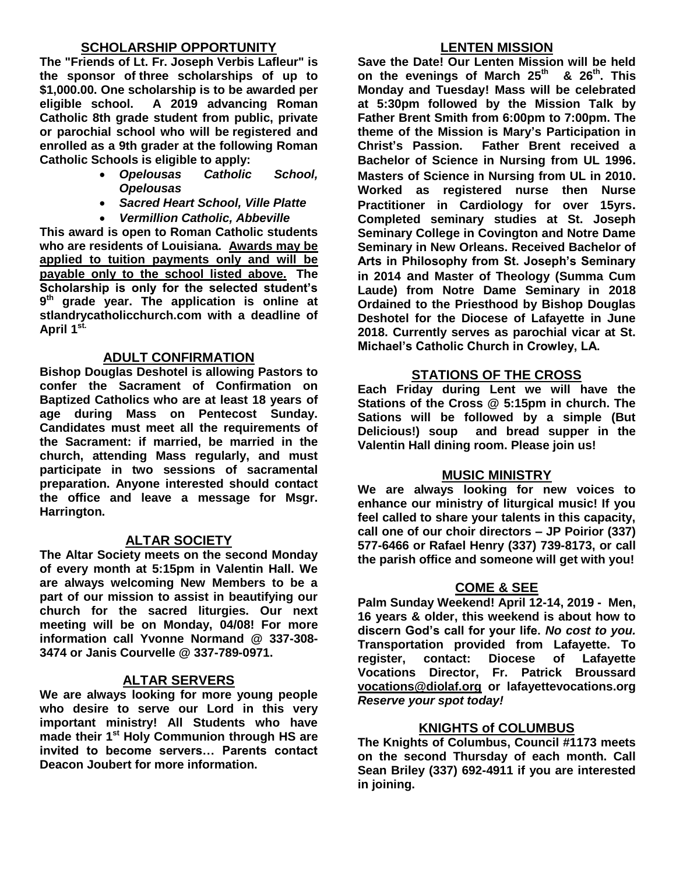### **SCHOLARSHIP OPPORTUNITY**

**The "Friends of Lt. Fr. Joseph Verbis Lafleur" is the sponsor of three scholarships of up to \$1,000.00. One scholarship is to be awarded per eligible school. A 2019 advancing Roman Catholic 8th grade student from public, private or parochial school who will be registered and enrolled as a 9th grader at the following Roman Catholic Schools is eligible to apply:**

- *Opelousas Catholic School, Opelousas*
- *Sacred Heart School, Ville Platte*
- *Vermillion Catholic, Abbeville*

**This award is open to Roman Catholic students who are residents of Louisiana. Awards may be applied to tuition payments only and will be payable only to the school listed above. The Scholarship is only for the selected student's 9 th grade year. The application is online at stlandrycatholicchurch.com with a deadline of April 1st.** 

### **ADULT CONFIRMATION**

**Bishop Douglas Deshotel is allowing Pastors to confer the Sacrament of Confirmation on Baptized Catholics who are at least 18 years of age during Mass on Pentecost Sunday. Candidates must meet all the requirements of the Sacrament: if married, be married in the church, attending Mass regularly, and must participate in two sessions of sacramental preparation. Anyone interested should contact the office and leave a message for Msgr. Harrington.** 

#### **ALTAR SOCIETY**

**The Altar Society meets on the second Monday of every month at 5:15pm in Valentin Hall. We are always welcoming New Members to be a part of our mission to assist in beautifying our church for the sacred liturgies. Our next meeting will be on Monday, 04/08! For more information call Yvonne Normand @ 337-308- 3474 or Janis Courvelle @ 337-789-0971.** 

#### **ALTAR SERVERS**

**We are always looking for more young people who desire to serve our Lord in this very important ministry! All Students who have made their 1st Holy Communion through HS are invited to become servers… Parents contact Deacon Joubert for more information.**

#### **LENTEN MISSION**

**Save the Date! Our Lenten Mission will be held on the evenings of March 25th & 26th . This Monday and Tuesday! Mass will be celebrated at 5:30pm followed by the Mission Talk by Father Brent Smith from 6:00pm to 7:00pm. The theme of the Mission is Mary's Participation in Christ's Passion. Father Brent received a Bachelor of Science in Nursing from UL 1996. Masters of Science in Nursing from UL in 2010. Worked as registered nurse then Nurse Practitioner in Cardiology for over 15yrs. Completed seminary studies at St. Joseph Seminary College in Covington and Notre Dame Seminary in New Orleans. Received Bachelor of Arts in Philosophy from St. Joseph's Seminary in 2014 and Master of Theology (Summa Cum Laude) from Notre Dame Seminary in 2018 Ordained to the Priesthood by Bishop Douglas Deshotel for the Diocese of Lafayette in June 2018. Currently serves as parochial vicar at St. Michael's Catholic Church in Crowley, LA.** 

## **STATIONS OF THE CROSS**

**Each Friday during Lent we will have the Stations of the Cross @ 5:15pm in church. The Sations will be followed by a simple (But Delicious!) soup and bread supper in the Valentin Hall dining room. Please join us!**

#### **MUSIC MINISTRY**

**We are always looking for new voices to enhance our ministry of liturgical music! If you feel called to share your talents in this capacity, call one of our choir directors – JP Poirior (337) 577-6466 or Rafael Henry (337) 739-8173, or call the parish office and someone will get with you!**

#### **COME & SEE**

**Palm Sunday Weekend! April 12-14, 2019 - Men, 16 years & older, this weekend is about how to discern God's call for your life.** *No cost to you.*  **Transportation provided from Lafayette. To register, contact: Diocese of Lafayette Vocations Director, Fr. Patrick Broussard [vocations@diolaf.org](mailto:vocations@diolaf.org) or lafayettevocations.org**  *Reserve your spot today!*

#### **KNIGHTS of COLUMBUS**

**The Knights of Columbus, Council #1173 meets on the second Thursday of each month. Call Sean Briley (337) 692-4911 if you are interested in joining.**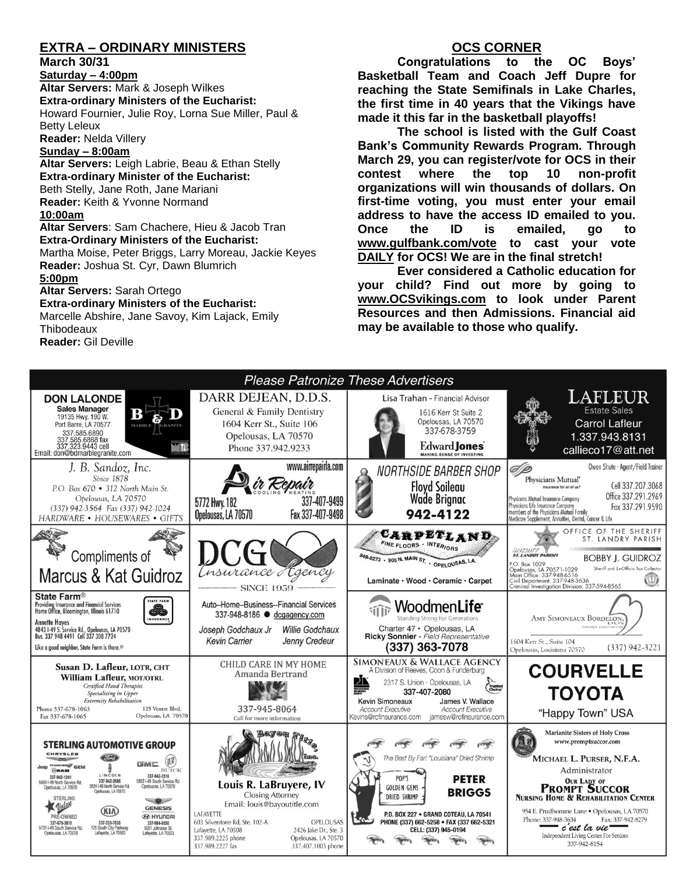## **EXTRA – ORDINARY MINISTERS**

**March 30/31**

**Saturday – 4:00pm Altar Servers:** Mark & Joseph Wilkes **Extra-ordinary Ministers of the Eucharist:**  Howard Fournier, Julie Roy, Lorna Sue Miller, Paul & Betty Leleux **Reader:** Nelda Villery

#### **Sunday – 8:00am**

**Altar Servers:** Leigh Labrie, Beau & Ethan Stelly **Extra-ordinary Minister of the Eucharist:** Beth Stelly, Jane Roth, Jane Mariani **Reader:** Keith & Yvonne Normand **10:00am**

**Altar Servers**: Sam Chachere, Hieu & Jacob Tran **Extra-Ordinary Ministers of the Eucharist:** Martha Moise, Peter Briggs, Larry Moreau, Jackie Keyes

**Reader:** Joshua St. Cyr, Dawn Blumrich

# **5:00pm**

**Altar Servers:** Sarah Ortego

#### **Extra-ordinary Ministers of the Eucharist:**

Marcelle Abshire, Jane Savoy, Kim Lajack, Emily **Thibodeaux** 

**Reader:** Gil Deville

## **OCS CORNER**

**Congratulations to the OC Boys' Basketball Team and Coach Jeff Dupre for reaching the State Semifinals in Lake Charles, the first time in 40 years that the Vikings have made it this far in the basketball playoffs!**

**The school is listed with the Gulf Coast Bank's Community Rewards Program. Through March 29, you can register/vote for OCS in their contest where the top 10 non-profit organizations will win thousands of dollars. On first-time voting, you must enter your email address to have the access ID emailed to you. Once the ID is emailed, go to [www.gulfbank.com/vote](http://www.gulfbank.com/vote) to cast your vote DAILY for OCS! We are in the final stretch!**

**Ever considered a Catholic education for your child? Find out more by going to [www.OCSvikings.com](http://www.ocsvikings.com/) to look under Parent Resources and then Admissions. Financial aid may be available to those who qualify.**